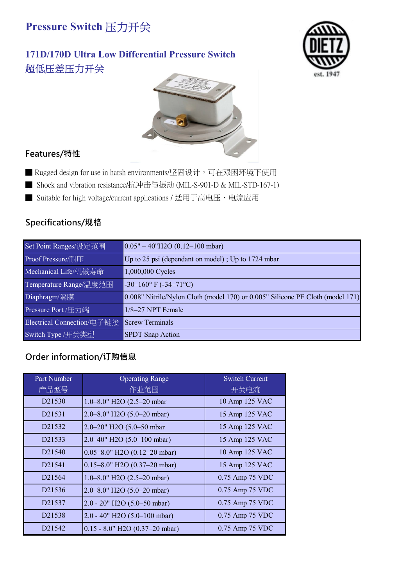## **171D/170D Ultra Low Differential Pressure Switch** 超低压差压力开关





### **Features/特性**

- Rugged design for use in harsh environments/坚固设计,可在艰困环境下使用
- Shock and vibration resistance/抗冲击与振动 (MIL-S-901-D & MIL-STD-167-1)
- Suitable for high voltage/current applications / 适用于高电压、电流应用

### **Specifications/规格**

| Set Point Ranges/设定范围      | $0.05" - 40"$ H2O (0.12–100 mbar)                                              |
|----------------------------|--------------------------------------------------------------------------------|
| Proof Pressure/耐压          | Up to 25 psi (dependant on model); Up to 1724 mbar                             |
| Mechanical Life/机械寿命       | 1,000,000 Cycles                                                               |
| Temperature Range/温度范围     | $-30-160$ °F ( $-34-71$ °C)                                                    |
| Diaphragm/隔膜               | 0.008" Nitrile/Nylon Cloth (model 170) or 0.005" Silicone PE Cloth (model 171) |
| Pressure Port /压力端         | 1/8-27 NPT Female                                                              |
| Electrical Connection/电子链接 | <b>Screw Terminals</b>                                                         |
| Switch Type /开关类型          | <b>SPDT</b> Snap Action                                                        |

| Part Number         | <b>Operating Range</b>                | <b>Switch Current</b> |
|---------------------|---------------------------------------|-----------------------|
| 产品型号                | 作业范围                                  | 开关电流                  |
| D <sub>2</sub> 1530 | 1.0-8.0" H2O (2.5-20 mbar             | 10 Amp 125 VAC        |
| D21531              | 2.0-8.0" H2O (5.0-20 mbar)            | 15 Amp 125 VAC        |
| D <sub>2</sub> 1532 | 2.0-20" H2O (5.0-50 mbar              | 15 Amp 125 VAC        |
| D21533              | $2.0 - 40$ " H2O (5.0-100 mbar)       | 15 Amp 125 VAC        |
| D <sub>2</sub> 1540 | $0.05 - 8.0$ " H2O (0.12-20 mbar)     | 10 Amp 125 VAC        |
| D <sub>2</sub> 1541 | 0.15-8.0" H2O (0.37-20 mbar)          | 15 Amp 125 VAC        |
| D <sub>21564</sub>  | 1.0–8.0" H2O $(2.5–20$ mbar)          | 0.75 Amp 75 VDC       |
| D21536              | $2.0 - 8.0$ " H2O (5.0–20 mbar)       | 0.75 Amp 75 VDC       |
| D21537              | $2.0 - 20$ " H2O (5.0–50 mbar)        | 0.75 Amp 75 VDC       |
| D <sub>21538</sub>  | $2.0 - 40"$ H2O (5.0–100 mbar)        | 0.75 Amp 75 VDC       |
| D <sub>2</sub> 1542 | $0.15 - 8.0$ " H2O $(0.37 - 20$ mbar) | 0.75 Amp 75 VDC       |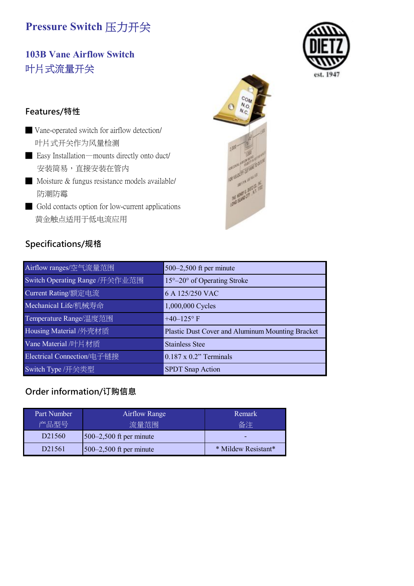# **103B Vane Airflow Switch** 叶片式流量开关

#### **Features/特性**

- Vane-operated switch for airflow detection/ 叶片式开关作为风量检测
- Easy Installation—mounts directly onto duct/ 安装简易,直接安装在管内
- Moisture & fungus resistance models available/ 防潮防霉
- Gold contacts option for low-current applications 黄金触点适用于低电流应用

### **Specifications/规格**

| Specifications/规格              |                                                  |
|--------------------------------|--------------------------------------------------|
| Airflow ranges/空气流量范围          | 500–2,500 ft per minute                          |
| Switch Operating Range /开关作业范围 | $15^{\circ}-20^{\circ}$ of Operating Stroke      |
| Current Rating/额定电流            | 6 A 125/250 VAC                                  |
| Mechanical Life/机械寿命           | 1,000,000 Cycles                                 |
| Temperature Range/温度范围         | +40-125 $\rm{^{\circ}}$ F                        |
| Housing Material /外壳材质         | Plastic Dust Cover and Aluminum Mounting Bracket |
| Vane Material /叶片材质            | <b>Stainless Stee</b>                            |
| Electrical Connection/电子链接     | $0.187 \times 0.2$ " Terminals                   |
| Switch Type /开关类型              | <b>SPDT</b> Snap Action                          |

| Part Number         | <b>Airflow Range</b>      | Remark              |
|---------------------|---------------------------|---------------------|
| 产品型号                | 流量范围                      | 备注                  |
| D <sub>2</sub> 1560 | $500-2,500$ ft per minute | -                   |
| D <sub>2</sub> 1561 | $500-2,500$ ft per minute | * Mildew Resistant* |



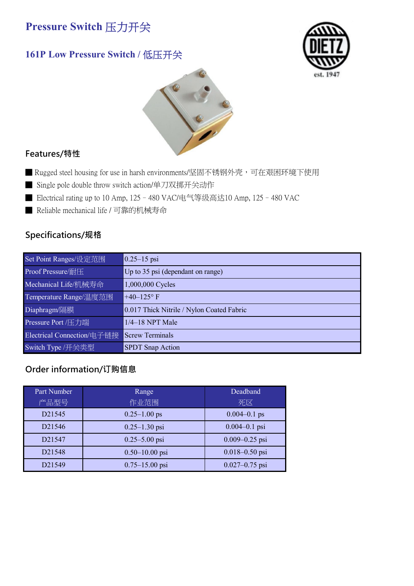## **161P Low Pressure Switch /** 低压开关





#### **Features/特性**

- Rugged steel housing for use in harsh environments/坚固不锈钢外壳,可在艰困环境下使用
- Single pole double throw switch action/单刀双掷开关动作
- Electrical rating up to 10 Amp, 125 480 VAC/电气等级高达10 Amp, 125 480 VAC
- Reliable mechanical life / 可靠的机械寿命

## **Specifications/规格**

| Set Point Ranges/设定范围      | $0.25 - 15$ psi                           |
|----------------------------|-------------------------------------------|
| Proof Pressure/耐压          | Up to 35 psi (dependant on range)         |
| Mechanical Life/机械寿命       | 1,000,000 Cycles                          |
| Temperature Range/温度范围     | $+40-125$ °F                              |
| Diaphragm/隔膜               | 0.017 Thick Nitrile / Nylon Coated Fabric |
| Pressure Port /压力端         | $1/4-18$ NPT Male                         |
| Electrical Connection/电子链接 | <b>Screw Terminals</b>                    |
| Switch Type /开关类型          | <b>SPDT</b> Snap Action                   |

| Part Number         | Range              | Deadband           |
|---------------------|--------------------|--------------------|
| 产品型号                | 作业范围               | 死区                 |
| D <sub>2</sub> 1545 | $0.25 - 1.00$ ps   | $0.004 - 0.1$ ps   |
| D <sub>21546</sub>  | $0.25 - 1.30$ psi  | $0.004 - 0.1$ psi  |
| D <sub>2</sub> 1547 | $0.25 - 5.00$ psi  | $0.009 - 0.25$ psi |
| D21548              | $0.50 - 10.00$ psi | $0.018 - 0.50$ psi |
| D21549              | $0.75 - 15.00$ psi | $0.027 - 0.75$ psi |